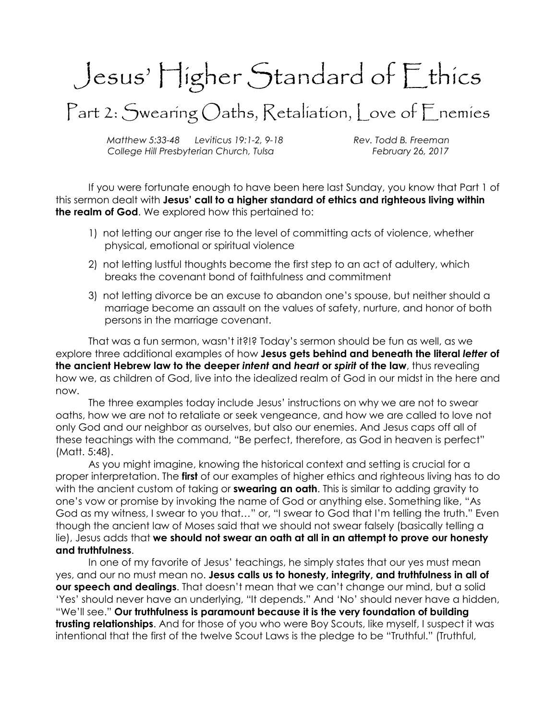## Jesus' Higher Standard of Ethics

Part 2: Swearing Oaths, Retaliation, Love of Enemies

Matthew 5:33-48 Leviticus 19:1-2, 9-18 Rev. Todd B. Freeman College Hill Presbyterian Church, Tulsa February 26, 2017

If you were fortunate enough to have been here last Sunday, you know that Part 1 of this sermon dealt with Jesus' call to a higher standard of ethics and righteous living within the realm of God. We explored how this pertained to:

- 1) not letting our anger rise to the level of committing acts of violence, whether physical, emotional or spiritual violence
- 2) not letting lustful thoughts become the first step to an act of adultery, which breaks the covenant bond of faithfulness and commitment
- 3) not letting divorce be an excuse to abandon one's spouse, but neither should a marriage become an assault on the values of safety, nurture, and honor of both persons in the marriage covenant.

That was a fun sermon, wasn't it?!? Today's sermon should be fun as well, as we explore three additional examples of how Jesus gets behind and beneath the literal letter of the ancient Hebrew law to the deeper intent and heart or spirit of the law, thus revealing how we, as children of God, live into the idealized realm of God in our midst in the here and now.

The three examples today include Jesus' instructions on why we are not to swear oaths, how we are not to retaliate or seek vengeance, and how we are called to love not only God and our neighbor as ourselves, but also our enemies. And Jesus caps off all of these teachings with the command, "Be perfect, therefore, as God in heaven is perfect" (Matt. 5:48).

As you might imagine, knowing the historical context and setting is crucial for a proper interpretation. The **first** of our examples of higher ethics and righteous living has to do with the ancient custom of taking or **swearing an oath**. This is similar to adding gravity to one's vow or promise by invoking the name of God or anything else. Something like, "As God as my witness, I swear to you that…" or, "I swear to God that I'm telling the truth." Even though the ancient law of Moses said that we should not swear falsely (basically telling a lie), Jesus adds that we should not swear an oath at all in an attempt to prove our honesty and truthfulness.

In one of my favorite of Jesus' teachings, he simply states that our yes must mean yes, and our no must mean no. Jesus calls us to honesty, integrity, and truthfulness in all of our speech and dealings. That doesn't mean that we can't change our mind, but a solid 'Yes' should never have an underlying, "It depends." And 'No' should never have a hidden, "We'll see." Our truthfulness is paramount because it is the very foundation of building trusting relationships. And for those of you who were Boy Scouts, like myself, I suspect it was intentional that the first of the twelve Scout Laws is the pledge to be "Truthful." (Truthful,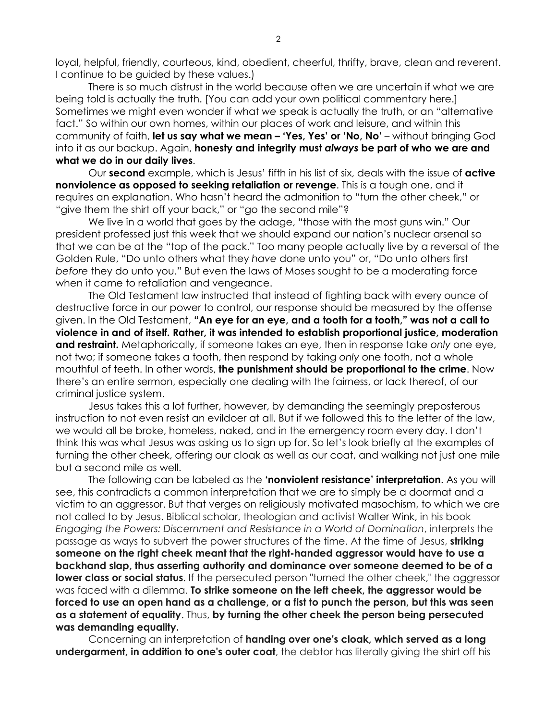loyal, helpful, friendly, courteous, kind, obedient, cheerful, thrifty, brave, clean and reverent. I continue to be guided by these values.)

There is so much distrust in the world because often we are uncertain if what we are being told is actually the truth. [You can add your own political commentary here.] Sometimes we might even wonder if what we speak is actually the truth, or an "alternative fact." So within our own homes, within our places of work and leisure, and within this community of faith, let us say what we mean – 'Yes, Yes' or 'No, No' – without bringing God into it as our backup. Again, **honesty and integrity must always be part of who we are and** what we do in our daily lives.

Our second example, which is Jesus' fifth in his list of six, deals with the issue of active nonviolence as opposed to seeking retaliation or revenge. This is a tough one, and it requires an explanation. Who hasn't heard the admonition to "turn the other cheek," or "give them the shirt off your back," or "go the second mile"?

We live in a world that goes by the adage, "those with the most guns win." Our president professed just this week that we should expand our nation's nuclear arsenal so that we can be at the "top of the pack." Too many people actually live by a reversal of the Golden Rule, "Do unto others what they have done unto you" or, "Do unto others first before they do unto you." But even the laws of Moses sought to be a moderating force when it came to retaliation and vengeance.

The Old Testament law instructed that instead of fighting back with every ounce of destructive force in our power to control, our response should be measured by the offense given. In the Old Testament, "An eye for an eye, and a tooth for a tooth," was not a call to violence in and of itself. Rather, it was intended to establish proportional justice, moderation and restraint. Metaphorically, if someone takes an eye, then in response take only one eye, not two; if someone takes a tooth, then respond by taking only one tooth, not a whole mouthful of teeth. In other words, the punishment should be proportional to the crime. Now there's an entire sermon, especially one dealing with the fairness, or lack thereof, of our criminal justice system.

Jesus takes this a lot further, however, by demanding the seemingly preposterous instruction to not even resist an evildoer at all. But if we followed this to the letter of the law, we would all be broke, homeless, naked, and in the emergency room every day. I don't think this was what Jesus was asking us to sign up for. So let's look briefly at the examples of turning the other cheek, offering our cloak as well as our coat, and walking not just one mile but a second mile as well.

The following can be labeled as the 'nonviolent resistance' interpretation. As you will see, this contradicts a common interpretation that we are to simply be a doormat and a victim to an aggressor. But that verges on religiously motivated masochism, to which we are not called to by Jesus. Biblical scholar, theologian and activist Walter Wink, in his book Engaging the Powers: Discernment and Resistance in a World of Domination, interprets the passage as ways to subvert the power structures of the time. At the time of Jesus, **striking** someone on the right cheek meant that the right-handed aggressor would have to use a backhand slap, thus asserting authority and dominance over someone deemed to be of a **lower class or social status**. If the persecuted person "turned the other cheek," the aggressor was faced with a dilemma. To strike someone on the left cheek, the aggressor would be forced to use an open hand as a challenge, or a fist to punch the person, but this was seen as a statement of equality. Thus, by turning the other cheek the person being persecuted was demanding equality.

Concerning an interpretation of **handing over one's cloak, which served as a long** undergarment, in addition to one's outer coat, the debtor has literally giving the shirt off his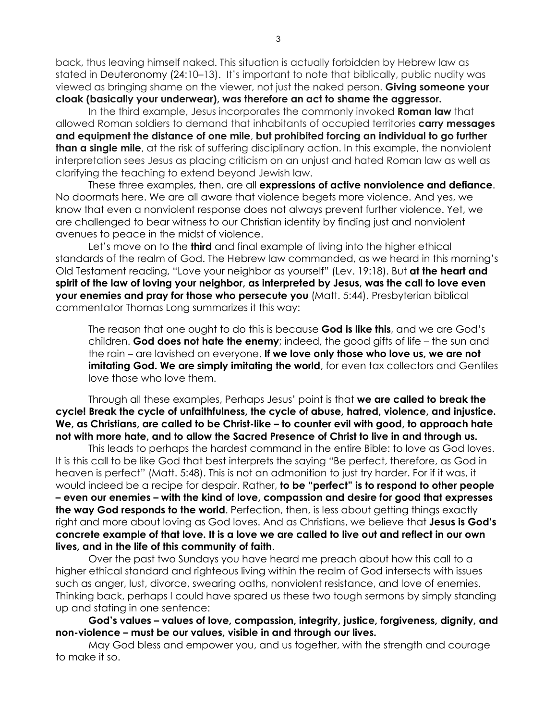back, thus leaving himself naked. This situation is actually forbidden by Hebrew law as stated in Deuteronomy (24:10–13). It's important to note that biblically, public nudity was viewed as bringing shame on the viewer, not just the naked person. Giving someone your cloak (basically your underwear), was therefore an act to shame the aggressor.

In the third example, Jesus incorporates the commonly invoked **Roman law** that allowed Roman soldiers to demand that inhabitants of occupied territories **carry messages** and equipment the distance of one mile, but prohibited forcing an individual to go further **than a single mile**, at the risk of suffering disciplinary action. In this example, the nonviolent interpretation sees Jesus as placing criticism on an unjust and hated Roman law as well as clarifying the teaching to extend beyond Jewish law.

These three examples, then, are all expressions of active nonviolence and defiance. No doormats here. We are all aware that violence begets more violence. And yes, we know that even a nonviolent response does not always prevent further violence. Yet, we are challenged to bear witness to our Christian identity by finding just and nonviolent avenues to peace in the midst of violence.

Let's move on to the **third** and final example of living into the higher ethical standards of the realm of God. The Hebrew law commanded, as we heard in this morning's Old Testament reading, "Love your neighbor as yourself" (Lev. 19:18). But at the heart and spirit of the law of loving your neighbor, as interpreted by Jesus, was the call to love even your enemies and pray for those who persecute you (Matt. 5:44). Presbyterian biblical commentator Thomas Long summarizes it this way:

The reason that one ought to do this is because **God is like this**, and we are God's children. God does not hate the enemy; indeed, the good gifts of life  $-$  the sun and the rain – are lavished on everyone. If we love only those who love us, we are not imitating God. We are simply imitating the world, for even tax collectors and Gentiles love those who love them.

Through all these examples, Perhaps Jesus' point is that we are called to break the cycle! Break the cycle of unfaithfulness, the cycle of abuse, hatred, violence, and injustice. We, as Christians, are called to be Christ-like – to counter evil with good, to approach hate not with more hate, and to allow the Sacred Presence of Christ to live in and through us.

This leads to perhaps the hardest command in the entire Bible: to love as God loves. It is this call to be like God that best interprets the saying "Be perfect, therefore, as God in heaven is perfect" (Matt. 5:48). This is not an admonition to just try harder. For if it was, it would indeed be a recipe for despair. Rather, to be "perfect" is to respond to other people – even our enemies – with the kind of love, compassion and desire for good that expresses the way God responds to the world. Perfection, then, is less about getting things exactly right and more about loving as God loves. And as Christians, we believe that Jesus is God's concrete example of that love. It is a love we are called to live out and reflect in our own lives, and in the life of this community of faith.

Over the past two Sundays you have heard me preach about how this call to a higher ethical standard and righteous living within the realm of God intersects with issues such as anger, lust, divorce, swearing oaths, nonviolent resistance, and love of enemies. Thinking back, perhaps I could have spared us these two tough sermons by simply standing up and stating in one sentence:

God's values – values of love, compassion, integrity, justice, forgiveness, dignity, and non-violence – must be our values, visible in and through our lives.

 May God bless and empower you, and us together, with the strength and courage to make it so.